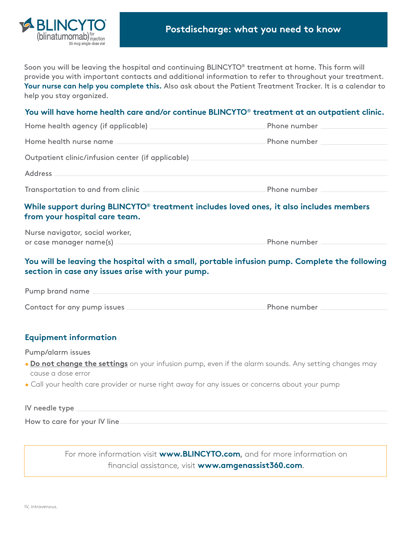

Soon you will be leaving the hospital and continuing BLINCYTO® treatment at home. This form will provide you with important contacts and additional information to refer to throughout your treatment. **Your nurse can help you complete this.** Also ask about the Patient Treatment Tracker. It is a calendar to help you stay organized.

## **You will have home health care and/or continue BLINCYTO**® **treatment at an outpatient clinic.**

| Home health agency (if applicable)                | Phone number |  |
|---------------------------------------------------|--------------|--|
| Home health nurse name                            | Phone number |  |
| Outpatient clinic/infusion center (if applicable) |              |  |
| <b>Address</b>                                    |              |  |
| Transportation to and from clinic                 | Phone number |  |

# **While support during BLINCYTO® treatment includes loved ones, it also includes members from your hospital care team.**

Nurse navigator, social worker, or case manager name(s) entitled the case of the Phone number  $\equiv$ 

## **You will be leaving the hospital with a small, portable infusion pump. Complete the following section in case any issues arise with your pump.**

Pump brand name Contact for any pump issues Phone number

## **Equipment information**

Pump/alarm issues

- **Do not change the settings** on your infusion pump, even if the alarm sounds. Any setting changes may cause a dose error
- Call your health care provider or nurse right away for any issues or concerns about your pump

| IV needle type _             |  |  |
|------------------------------|--|--|
| How to care for your IV line |  |  |

For more information visit **www.BLINCYTO.com**, and for more information on financial assistance, visit **www.amgenassist360.com**.